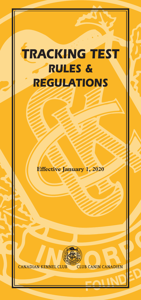# *TRACKING TEST RULES & REGULATIONS*

**Effective January 1, 2020**



**CANADIAN KENNEL CLUB CLUB CANIN CANADIEN**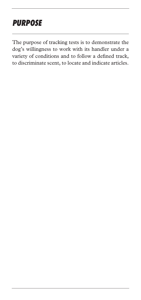## *PURPOSE*

The purpose of tracking tests is to demonstrate the dog's willingness to work with its handler under a variety of conditions and to follow a defined track, to discriminate scent, to locate and indicate articles.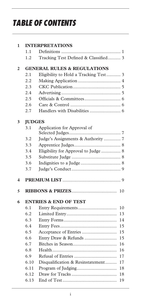## *TABLE OF CONTENTS*

| $\mathbf{1}$            | <b>INTERPRETATIONS</b>                 |                                         |  |  |
|-------------------------|----------------------------------------|-----------------------------------------|--|--|
|                         | 1.1                                    |                                         |  |  |
|                         | 1.2                                    | Tracking Test Defined & Classified 3    |  |  |
| $\overline{2}$          | <b>GENERAL RULES &amp; REGULATIONS</b> |                                         |  |  |
|                         | 2.1                                    | Eligibility to Hold a Tracking Test 3   |  |  |
|                         | 2.2                                    |                                         |  |  |
|                         | 2.3                                    |                                         |  |  |
|                         | 2.4                                    |                                         |  |  |
|                         | 2.5                                    |                                         |  |  |
|                         | 2.6                                    |                                         |  |  |
|                         | 2.7                                    |                                         |  |  |
| 3                       | <b>JUDGES</b>                          |                                         |  |  |
|                         | 3.1                                    | Application for Approval of             |  |  |
|                         | 3.2                                    | Judge's Assignments & Authority  7      |  |  |
|                         | 3.3                                    |                                         |  |  |
|                         | 3.4                                    | Eligibility for Approval to Judge  8    |  |  |
|                         | 3.5                                    |                                         |  |  |
|                         | 3.6                                    |                                         |  |  |
|                         | 3.7                                    |                                         |  |  |
|                         |                                        |                                         |  |  |
| $\overline{\mathbf{4}}$ |                                        |                                         |  |  |
| 5                       |                                        | 10                                      |  |  |
| 6                       |                                        | <b>ENTRIES &amp; END OF TEST</b>        |  |  |
|                         | 6.1                                    | 10                                      |  |  |
|                         | 6.2                                    | 13                                      |  |  |
|                         | 6.3                                    | 14                                      |  |  |
|                         | 6.4                                    | 15                                      |  |  |
|                         | 6.5                                    | Acceptance of Entries<br>15             |  |  |
|                         | 6.6                                    | Entry Draw & Refunds<br>15              |  |  |
|                         | 6.7                                    | 16                                      |  |  |
|                         | 6.8                                    | 16                                      |  |  |
|                         | 6.9                                    | 17                                      |  |  |
|                         | 6.10                                   | Disqualification & Resinstatement<br>17 |  |  |
|                         | 6.11                                   | 18                                      |  |  |
|                         | 6.12                                   | 18                                      |  |  |
|                         | 6.13                                   | 19                                      |  |  |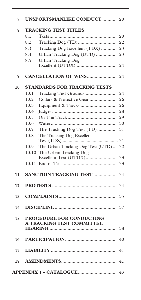| 7  |                      | <b>UNSPORTSMANLIKE CONDUCT  20</b>                    |    |  |
|----|----------------------|-------------------------------------------------------|----|--|
| 8  | TRACKING TEST TITLES |                                                       |    |  |
|    | 8.1                  |                                                       | 20 |  |
|    | 8.2                  |                                                       | 22 |  |
|    | 8.3                  | Tracking Dog Excellent (TDX)                          | 23 |  |
|    | 8.4                  | Urban Tracking Dog (UTD)                              | 23 |  |
|    | 8.5                  | <b>Urban Tracking Dog</b>                             |    |  |
|    |                      |                                                       | 24 |  |
| 9  |                      | <b>CANCELLATION OF WINS</b>                           | 24 |  |
| 10 |                      | <b>STANDARDS FOR TRACKING TESTS</b>                   |    |  |
|    | 10.1                 |                                                       | 24 |  |
|    | 10.2                 | Collars & Protective Gear                             | 26 |  |
|    | 10.3                 |                                                       | 26 |  |
|    | 10.4                 |                                                       | 28 |  |
|    | 10.5                 |                                                       | 29 |  |
|    | 10.6                 |                                                       | 30 |  |
|    | 10.7                 | The Tracking Dog Test (TD)                            | 31 |  |
|    | 10.8                 | The Tracking Dog Excellent                            |    |  |
|    | 10.9                 | The Urban Tracking Dog Test (UTD)                     | 32 |  |
|    |                      | 10.10 The Urban Tracking Dog                          |    |  |
|    |                      | Excellent Test (UTDX)                                 | 33 |  |
|    |                      |                                                       | 33 |  |
| 11 |                      | <b>SANCTION TRACKING TEST </b>                        | 34 |  |
| 12 |                      |                                                       | 34 |  |
| 13 |                      |                                                       | 35 |  |
|    |                      |                                                       |    |  |
| 14 |                      |                                                       | 37 |  |
| 15 |                      | PROCEDURE FOR CONDUCTING<br>A TRACKING TEST COMMITTEE |    |  |
|    |                      |                                                       |    |  |
| 16 |                      |                                                       |    |  |
| 17 |                      |                                                       | 41 |  |
|    |                      |                                                       |    |  |
|    |                      |                                                       |    |  |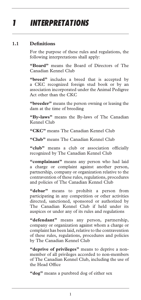## *1 INTERPRETATIONS*

#### **1.1 Definitions**

For the purpose of these rules and regulations, the following interpretations shall apply:

**"Board"** means the Board of Directors of The Canadian Kennel Club

"breed" includes a breed that is accepted by a CKC recognized foreign stud book or by an association incorporated under the Animal Pedigree Act other than the CKC

**"breeder"** means the person owning or leasing the dam at the time of breeding

**"By-laws"** means the By-laws of The Canadian Kennel Club

**"CKC"** means The Canadian Kennel Club

**"Club"** means The Canadian Kennel Club

"club" means a club or association officially recognized by The Canadian Kennel Club

**"complainant"** means any person who had laid a charge or complaint against another person, partnership, company or organization relative to the contravention of these rules, regulations, procedures and policies of The Canadian Kennel Club

**"debar"** means to prohibit a person from participating in any competition or other activities directed, sanctioned, sponsored or authorized by The Canadian Kennel Club if held under its auspices or under any of its rules and regulations

**"defendant"** means any person, partnership, company or organization against whom a charge or complaint has been laid, relative to the contravention of these rules, regulations, procedures and policies by The Canadian Kennel Club

**"deprive of privileges"** means to deprive a nonmember of all privileges accorded to non-members of The Canadian Kennel Club, including the use of the Head Office

**"dog"** means a purebred dog of either sex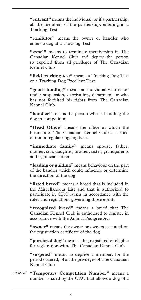**"entrant"** means the individual, or if a partnership, all the members of the partnership, entering in a Tracking Test

**"exhibitor"** means the owner or handler who enters a dog at a Tracking Test

**"expel"** means to terminate membership in The Canadian Kennel Club and depriv the person so expelled from all privileges of The Canadian Kennel Club

**"field tracking test"** means a Tracking Dog Test or a Tracking Dog Excellent Test

**"good standing"** means an individual who is not under suspension, deprivation, debarment or who has not forfeited his rights from The Canadian Kennel Club

**"handler"** means the person who is handling the dog in competition

**"Head Office"** means the office at which the business of The Canadian Kennel Club is carried out on a regular ongoing basis

**"immediate family"** means spouse, father, mother, son, daughter, brother, sister, grandparents and significant other

**"leading or guiding"** means behaviour on the part of the handler which could influence or determine the direction of the dog

**"listed breed"** means a breed that is included in the Miscellaneous List and that is authorized to participate in CKC events in accordance with the rules and regulations governing those events

**"recognized breed"** means a breed that The Canadian Kennel Club is authorized to register in accordance with the Animal Pedigree Act

**"owner"** means the owner or owners as stated on the registration certificate of the dog

**"purebred dog"** means a dog registered or eligible for registration with, The Canadian Kennel Club

**"suspend"** means to deprive a member, for the period ordered, of all the privileges of The Canadian Kennel Club

**"Temporary Competition Number"** means a *(01-05-18)* number isssued by the CKC that allows a dog of a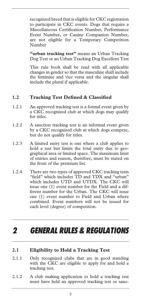recognized breed that is eligible for CKC registration to participate in CKC events. Dogs that require a Miscellaneous Certification Number, Performance Event Number, or Canine Companion Number, are not eligible for a Temporary Competition Number

**"urban tracking test"** means an Urban Tracking Dog Test or an Urban Tracking Dog Excellent Test

This rule book shall be read with all applicable changes in gender so that the masculine shall include the feminine and vice versa and the singular shall include the plural if applicable.

#### **1.2 Tracking Test Defined & Classified**

- 1.2.1 An approved tracking test is a formal event given by a CKC recognized club at which dogs may qualify for titles.
- 1.2.2 A sanction tracking test is an informal event given by a CKC recognized club at which dogs compete, but do not qualify for titles.
- 1.2.3 A limited entry test is one where a club applies to hold a test but limits the total entry due to geographical area or limited space. The maximum limit of entries and reason, therefore, must be stated on the front of the premium list.
- 1.2.4 There are two types of approved CKC tracking tests "field" which includes TD and TDX and "urban" which includes UTD and UTDX. The CKC will issue one (1) event number for the Field and a different number for the Urban. The CKC will issue one (1) event number to Field and Urban where combined. Event numbers will not be issued for each level (degree) of competition.

### *2 GENERAL RULES & REGULATIONS*

#### **2.1 Eligibility to Hold a Tracking Test**

- 2.1.1 Only recognized clubs that are in good standing with the CKC are eligible to apply for and hold a tracking test.
- 2.1.2 A club making application to hold a tracking test must have held an approved tracking test or sanc-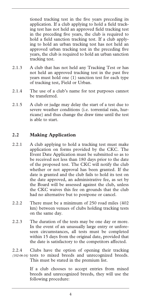tioned tracking test in the five years preceding its application. If a club applying to hold a field tracking test has not held an approved field tracking test in the preceding five years, the club is required to hold a field sanction tracking test. If a club applying to hold an urban tracking test has not held an approved urban tracking test in the preceding five years, the club is required to hold an urban sanction tracking test.

- 2.1.3 A club that has not held any Tracking Test or has not held an approved tracking test in the past five years must hold one (1) sanction test for each type of tracking test, Field or Urban.
- 2.1.4 The use of a club's name for test purposes cannot be transferred.
- 2.1.5 A club or judge may delay the start of a test due to severe weather conditions (i.e. torrential rain, hurricane) and thus change the draw time until the test is able to start.

#### **2.2 Making Application**

- 2.2.1 A club applying to hold a tracking test must make application on forms provided by the CKC. The Event Date Application must be submitted so as to be received not less than 180 days prior to the date of the proposed test. The CKC will notify the club whether or not approval has been granted. If the date is granted and the club fails to hold its test on the date approved, an administrative fee, as set by the Board will be assessed against the club, unless the CKC waives this fee on grounds that the club had no alternative but to postpone or cancel.
- 2.2.2 There must be a minimum of 250 road miles (402 km) between venues of clubs holding tracking tests on the same day.
- 2.2.3 The duration of the tests may be one day or more. In the event of an unusually large entry or unforeseen circumstances, all tests must be completed within 15 days from the original date, provided that the date is satisfactory to the competitors affected.
- 2.2.4 Clubs have the option of opening their tracking (102-06-16) tests to mixed breeds and unrecognized breeds. This must be stated in the premium list.

If a club chooses to accept entries from mixed breeds and unrecognized breeds, they will use the following procedure: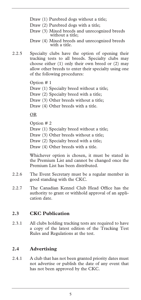- Draw (1) Purebred dogs without a title;
- Draw (2) Purebred dogs with a title;
- Draw (3) Mixed breeds and unrecognized breeds without a title;
- Draw (4) Mixed breeds and unrecognized breeds with a title.
- 2.2.5 Specialty clubs have the option of opening their tracking tests to all breeds. Specialty clubs may choose either (1) only their own breed or (2) may allow other breeds to enter their specialty using one of the following procedures:

Option # 1

- Draw (1) Specialty breed without a title;
- Draw (2) Specialty breed with a title;
- Draw (3) Other breeds without a title;
- Draw (4) Other breeds with a title.

#### OR

Option # 2

- Draw (1) Specialty breed without a title;
- Draw (3) Other breeds without a title;

Draw (2) Specialty breed with a title;

Draw (4) Other breeds with a title.

Whichever option is chosen, it must be stated in the Premium List and cannot be changed once the Premium List has been distributed.

- 2.2.6 The Event Secretary must be a regular member in good standing with the CKC.
- 2.2.7 The Canadian Kennel Club Head Office has the authority to grant or withhold approval of an application date.

#### **2.3 CKC Publication**

2.3.1 All clubs holding tracking tests are required to have a copy of the latest edition of the Tracking Test Rules and Regulations at the test.

#### **2.4 Advertising**

2.4.1 A club that has not been granted priority dates must not advertise or publish the date of any event that has not been approved by the CKC.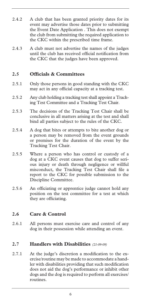- 2.4.2 A club that has been granted priority dates for its event may advertise those dates prior to submitting the Event Date Application . This does not exempt the club from submitting the required application to the CKC within the prescribed time frame.
- 2.4.3 A club must not advertise the names of the judges until the club has received official notification from the CKC that the judges have been approved.

#### **2.5 Officials & Committees**

- 2.5.1 Only those persons in good standing with the CKC may act in any official capacity at a tracking test.
- 2.5.2 Any club holding a tracking test shall appoint a Tracking Test Committee and a Tracking Test Chair.
- 2.5.3 The decisions of the Tracking Test Chair shall be conclusive in all matters arising at the test and shall bind all parties subject to the rules of the CKC.
- 2.5.4 A dog that bites or attempts to bite another dog or a person may be removed from the event grounds or premises for the duration of the event by the Tracking Test Chair.
- 2.5.5 Where a person who has control or custody of a dog at a CKC event causes that dog to suffer serious injury or death through negligence or willful misconduct, the Tracking Test Chair shall file a report to the CKC for possible submission to the Discipline Committee.
- 2.5.6 An officiating or apprentice judge cannot hold any position on the test committee for a test at which they are officiating.

#### **2.6 Care & Control**

2.6.1 All persons must exercise care and control of any dog in their possession while attending an event.

#### **2.7 Handlers with Disabilities** *(21-09-09)*

2.7.1 At the judge's discretion a modification to the exercise/routine may be made to accommodate a handler with disabilities providing that such modification does not aid the dog's performance or inhibit other dogs and the dog is required to perform all exercises/ routines.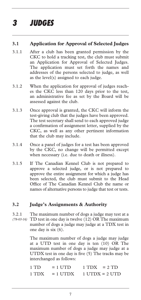## *3 JUDGES*

#### **3.1 Application for Approval of Selected Judges**

- 3.1.1 After a club has been granted permission by the CKC to hold a tracking test, the club must submit an Application for Approval of Selected Judges. The application must set forth the names and addresses of the persons selected to judge, as well as the level(s) assigned to each judge.
- 3.1.2 When the application for approval of judges reaches the CKC less than 120 days prior to the test, an administrative fee as set by the Board will be assessed against the club.
- 3.1.3 Once approval is granted, the CKC will inform the test-giving club that the judges have been approved. The test secretary shall send to each approved judge a confirmation of assignment letter, supplied by the CKC, as well as any other pertinent information that the club may include.
- 3.1.4 Once a panel of judges for a test has been approved by the CKC, no change will be permitted except when necessary (i.e. due to death or illness).
- 3.1.5 If The Canadian Kennel Club is not prepared to approve a selected judge, or is not prepared to approve the entire assignment for which a judge has been selected, the club must submit to the Head Office of The Canadian Kennel Club the name or names of alternative persons to judge that test or tests.

#### **3.2 Judge's Assignments & Authority**

3.2.1 The maximum number of dogs a judge may test at a TD test in one day is twelve (12) OR The maximum *(78-03-16)* number of dogs a judge may judge at a TDX test in one day is six (6).

> The maximum number of dogs a judge may judge at a UTD test in one day is ten (10) OR The maximum number of dogs a judge may judge at a UTDX test in one day is five (5) The tracks may be interchanged as follows:

 $1 \text{ TD}$  =  $1 \text{ UTD}$   $1 \text{ TDX}$  =  $2 \text{ TD}$  $1 TDX = 1 UTDX 1 UTDX = 2 UTD$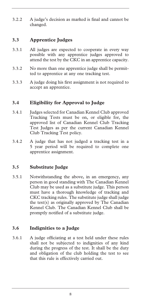3.2.2 A judge's decision as marked is final and cannot be changed.

#### **3.3 Apprentice Judges**

- 3.3.1 All judges are expected to cooperate in every way possible with any apprentice judges approved to attend the test by the CKC in an apprentice capacity.
- 3.3.2 No more than one apprentice judge shall be permitted to apprentice at any one tracking test.
- 3.3.3 A judge doing his first assignment is not required to accept an apprentice.

#### **3.4 Eligibility for Approval to Judge**

- 3.4.1 Judges selected for Canadian Kennel Club approved Tracking Tests must be on, or eligible for, the approved list of Canadian Kennel Club Tracking Test Judges as per the current Canadian Kennel Club Tracking Test policy.
- 3.4.2 A judge that has not judged a tracking test in a 5 year period will be required to complete one apprentice assignment.

#### **3.5 Substitute Judge**

3.5.1 Notwithstanding the above, in an emergency, any person in good standing with The Canadian Kennel Club may be used as a substitute judge. This person must have a thorough knowledge of tracking and CKC tracking rules. The substitute judge shall judge the test(s) as originally approved by The Canadian Kennel Club. The Canadian Kennel Club shall be promptly notified of a substitute judge.

#### **3.6 Indignities to a Judge**

3.6.1 A judge officiating at a test held under these rules shall not be subjected to indignities of any kind during the progress of the test. It shall be the duty and obligation of the club holding the test to see that this rule is effectively carried out.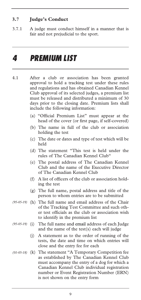#### **3.7 Judge's Conduct**

3.7.1 A judge must conduct himself in a manner that is fair and not prejudicial to the sport.

### *4 PREMIUM LIST*

- 4.1 After a club or association has been granted approval to hold a tracking test under these rules and regulations and has obtained Canadian Kennel Club approval of its selected judges, a premium list must be released and distributed a minimum of 30 days prior to the closing date. Premium lists shall include the following information:
	- (a) "Official Premium List" must appear at the head of the cover (or first page, if self-covered)
	- (b) The name in full of the club or association holding the test
	- (c) The date or dates and type of test which will be held
	- (d) The statement "This test is held under the rules of The Canadian Kennel Club"
	- (e) The postal address of The Canadian Kennel Club and the name of the Executive Director of The Canadian Kennel Club
	- (f) A list of officers of the club or association holding the test
	- (g) The full name, postal address and title of the person to whom entries are to be submitted
- (95-05-19) (h) The full name and email address of the Chair of the Tracking Test Committee and such other test officials as the club or association wish to identify in the premium list
- The full name and email address of each Judge and the name of the test(s) each will judge *(95-05-19)* 
	- (j) A statement as to the order of running of the tests, the date and time on which entries will close and the entry fee for each
- (01-05-18) (k) The statement "A Temporary Competition fee as established by The Canadian Kennel Club must accompany the entry of a dog for which a Canadian Kennel Club individual registration number or Event Registration Number (ERN) is not shown on the entry form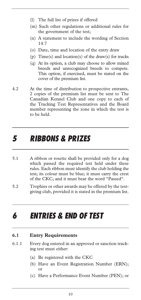- (l) The full list of prizes if offered
- (m) Such other regulations or additional rules for the government of the test;
- (n) A statement to include the wording of Section 14.7
- (o) Date, time and location of the entry draw
- (p) Time(s) and location(s) of the draw(s) for tracks
- (q) At its option, a club may choose to allow mixed breeds and unrecognized breeds to compete. This option, if exercised, must be stated on the cover of the premium list.
- 4.2 At the time of distribution to prospective entrants, 2 copies of the premium list must be sent to The Canadian Kennel Club and one copy to each of the Tracking Test Representatives and the Board member representing the zone in which the test is to be held.

### *5 RIBBONS & PRIZES*

- 5.1 A ribbon or rosette shall be provided only for a dog which passed the required test held under these rules. Each ribbon must identify the club holding the test; its colour must be blue; it must carry the crest of the CKC; and it must bear the word "Passed".
- 5.2 Trophies or other awards may be offered by the testgiving club, provided it is stated in the premium list.

## *6 ENTRIES & END OF TEST*

#### **6.1 Entry Requirements**

- 6.1.1 Every dog entered in an approved or sanction tracking test must either:
	- (a) Be registered with the CKC
	- (b) Have an Event Registration Number (ERN); or
	- (c) Have a Performance Event Number (PEN); or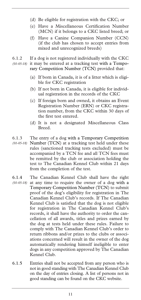- (d) Be eligible for registration with the CKC; or
- (e) Have a Miscellaneous Certification Number (MCN) if it belongs to a CKC listed breed; or
- (f) Have a Canine Companion Number (CCN) (if the club has chosen to accept entries from mixed and unrecognized breeds)
- 6.1.2 If a dog is not registered individually with the CKC it may be entered at a tracking test with a Temporary Competition Number (TCN) provided that: *(01-05-18)* 
	- (a) If born in Canada, it is of a litter which is eligible for CKC registration
	- (b) If not born in Canada, it is eligible for individual registration in the records of the CKC
	- (c) If foreign born and owned, it obtains an Event Registration Number (ERN) or CKC registration number, from the CKC within 30 days of the first test entered.
	- (d) It is not a designated Miscellaneous Class Breed.
- 6.1.3 The entry of a dog with a Temporary Competition Number (TCN) at a tracking test held under these *(01-05-18)*  rules (sanctioned tracking tests excluded) must be accompanied by a TCN fee and all TCN fees must be remitted by the club or association holding the test to The Canadian Kennel Club within 21 days from the completion of the test.
- 6.1.4 The Canadian Kennel Club shall have the right at any time to require the owner of a dog with a Temporary Competition Number (TCN) to submit proof of the dog's eligibility for registration in The Canadian Kennel Club's records. If The Canadian Kennel Club is satisfied that the dog is not eligible for registration in The Canadian Kennel Club's records, it shall have the authority to order the cancellation of all awards, titles and prizes earned by the dog at tests held under these rules. Failure to comply with The Canadian Kennel Club's order to return ribbons and/or prizes to the clubs or associations concerned will result in the owner of the dog automatically rendering himself ineligible to enter dogs in any competition approved by The Canadian Kennel Club. *(01-05-18)*
- 6.1.5 Entries shall not be accepted from any person who is not in good standing with The Canadian Kennel Club on the day of entries closing. A list of persons not in good standing can be found on the CKC website.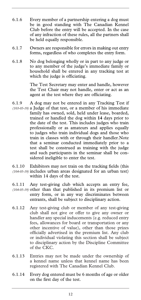- 6.1.6 Every member of a partnership entering a dog must be in good standing with The Canadian Kennel Club before the entry will be accepted. In the case of any infraction of these rules, all the partners shall be held equally responsible.
- 6.1.7 Owners are responsible for errors in making out entry forms, regardless of who completes the entry form.
- 6.1.8 No dog belonging wholly or in part to any judge or to any member of the judge's immediate family or household shall be entered in any tracking test at which the judge is officiating.

The Test Secretary may enter and handle, however the Test Chair may not handle, enter or act as an agent at the test where they are officiating.

- 6.1.9 A dog may not be entered in any Tracking Test if (103-05-19) a Judge of that test, or a member of his immediate family has owned, sold, held under lease, boarded, trained or handled the dog within **14** days prior to the date of the test. This includes judges who train professionally or as amateurs and applies equally to judges who train individual dogs and those who train in classes with or through their handler.Note that a seminar conducted immediately prior to a test shall be construed as training with the judge and such participants in the seminar shall be considered ineligible to enter the test.
- 6.1.10 Exhibitors may not train on the tracking fields (this includes urban areas designated for an urban test) *(104-05-19)*  within 14 days of the test.
- 6.1.11 Any test-giving club which accepts an entry fee, (104-05-19) other than that published in its premium list or entry form, or in any way discriminates between entrants, shall be subject to disciplinary action.
- 6.1.12 Any test-giving club or member of any test-giving club shall not give or offer to give any owner or handler any special inducements (e.g. reduced entry fees, allowances for board or transportation or any other incentive of value), other than those prizes officially advertised in the premium list. Any club or individual violating this section shall be subject to disciplinary action by the Discipline Committee of the CKC.
- 6.1.13 Entries may not be made under the ownership of a kennel name unless that kennel name has been registered with The Canadian Kennel Club.
- 6.1.14 Every dog entered must be 6 months of age or older on the first day of the test.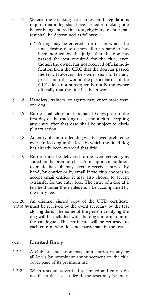- 6.1.15 Where the tracking test rules and regulations require that a dog shall have earned a tracking title before being entered in a test, eligibility to enter that test shall be determined as follows:
	- (a) A dog may be entered in a test in which the final closing date occurs after its handler has been notified by the judge that the dog has passed the test required for the title, even though the owner has not received official notification from the CKC that the dog has passed the test. However, the owner shall forfeit any prizes and titles won in the particular test if the CKC does not subsequently notify the owner officially that the title has been won.
- 6.1.16 Handlers, trainers, or agents may enter more than one dog.
- 6.1.17 Entries shall close not less than 10 days prior to the first day of the tracking tests, and a club accepting any entry after that date shall be subject to disciplinary action.
- 6.1.18 An entry of a non-titled dog will be given preference over a titled dog in the level in which the titled dog has already been awarded that title.
- 6.1.19 Entries must be delivered to the event secretary as stated on the premium list. At its option in addition to mail, the club may elect to receive entries by hand, by courier or by email If the club chooses to accept email entries, it may also choose to accept e-transfer for the entry fees. The entry of a dog at a test held under these rules must be accompanied by the entry fee.
- 6.1.20 An original, signed copy of the UTD certificate must be received by the event secretary by the test *(105-05-19)* closing date. The name of the person certifying the dog will be included with the dog's information in the catalogue. The certificate will be returned to each entrant who does not participate in the test.

#### **6.2 Limited Entry**

- 6.2.1 A club or association may limit entries in any or all levels by prominent announcement on the title cover page of its premium list.
- 6.2.2 When tests are advertised as limited and entries do not fill in the levels offered, the tests may be inter-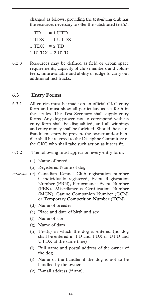changed as follows, providing the test-giving club has the resources necessary to offer the substituted test(s):

- $1 TD = 1 UTD$  $1 TDX = 1 UTDX$
- $1 TDX = 2 TD$
- $1$  UTDX =  $2$  UTD
- 6.2.3 Resources may be defined as field or urban space requirements, capacity of club members and volunteers, time available and ability of judge to carry out additional test tracks.

#### **6.3 Entry Forms**

- 6.3.1 All entries must be made on an official CKC entry form and must show all particulars as set forth in these rules. The Test Secretary shall supply entry forms. Any dog proven not to correspond with its entry form shall be disqualified, and all winnings and entry money shall be forfeited. Should the act of fraudulent entry be proven, the owner and/or handler shall be referred to the Discipline Committee of the CKC who shall take such action as it sees fit.
- 6.3.2 The following must appear on every entry form:
	- (a) Name of breed
	- (b) Registered Name of dog
- (c) Canadian Kennel Club registration number *(01-05-18)* if individually registered, Event Registration Number (ERN), Performance Event Number (PEN), Miscellaneous Certification Number (MCN), Canine Companion Number (CCN) or Temporary Competition Number (TCN)
	- (d) Name of breeder
	- (e) Place and date of birth and sex
	- (f) Name of sire
	- (g) Name of dam
	- (h) Test(s) in which the dog is entered (no dog shall be entered in TD and TDX or UTD and UTDX at the same time)
	- (i) Full name and postal address of the owner of the dog
	- (j) Name of the handler if the dog is not to be handled by the owner
	- (k) E-mail address (if any).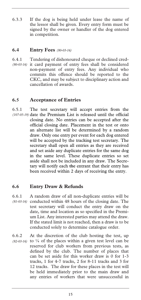6.3.3 If the dog is being held under lease the name of the lessor shall be given. Every entry form must be signed by the owner or handler of the dog entered in competition.

#### **6.4 Entry Fees** *(80-03-16)*

6.4.1 Tendering of dishonoured cheque or declined cred-(80-03-16) it card payment of entry fees shall be considered non-payment of entry fees. Any individual who commits this offence should be reported to the CKC, and may be subject to disciplinary action and cancellation of awards.

#### **6.5 Acceptance of Entries**

6.5.1 The test secretary will accept entries from the (107-05-19) date the Premium List is released until the official closing date. No entries can be accepted after the official closing date. Placement in the test or onto an alternate list will be determined by a random draw. Only one entry per event for each dog entered will be accepted by the tracking test secretary. The secretary shall open all entries as they are received and set aside any duplicate entries for the same dog in the same level. These duplicate entries so set aside shall not be included in any draw. The Secretary will notify each the entrant that their entry has been received within 2 days of receiving the entry.

#### **6.6 Entry Draw & Refunds**

6.6.1 A random draw of all non-duplicate entries will be (81-03-16) conducted within 48 hours of the closing date. The test secretary will conduct the entry draw on the date, time and location as so specified in the Premium List. Any interested parties may attend the draw. If the stated limit is not reached, then a draw is to be conducted solely to determine catalogue order.

6.6.2 At the discretion of the club hosting the test, up  $(82-03-16)$  to  $\frac{1}{4}$  of the places within a given test level can be reserved for club workers from previous tests, as defined by the club. The number of places that can be set aside for this worker draw is 0 for 1-3 tracks, 1 for 4-7 tracks, 2 for 8-11 tracks and 3 for 12 tracks. The draw for these places in the test will be held immediately prior to the main draw and any entries of workers that were unsuccessful in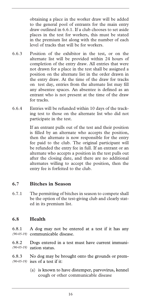obtaining a place in the worker draw will be added to the general pool of entrants for the main entry draw outlined in 6.6.1. If a club chooses to set aside places in the test for workers, this must be stated in the premium list along with the number of each level of tracks that will be for workers.

- 6.6.3 Position of the exhibitor in the test, or on the alternate list will be provided within 24 hours of completion of the entry draw. All entries that were not drawn for a place in the test shall be assigned a position on the alternate list in the order drawn in the entry draw. At the time of the draw for tracks on test day, entries from the alternate list may fill any absentee spaces. An absentee is defined as an entrant who is not present at the time of the draw for tracks.
- 6.6.4 Entries will be refunded within 10 days of the tracking test to those on the alternate list who did not participate in the test.

If an entrant pulls out of the test and their position is filled by an alternate who accepts the position, then the alternate is now responsible for the entry fee paid to the club. The original participant will be refunded the entry fee in full. If an entrant or an alternate who accepts a position in the test pulls out after the closing date, and there are no additional alternates willing to accept the position, then the entry fee is forfeited to the club.

#### **6.7 Bitches in Season**

6.7.1 The permitting of bitches in season to compete shall be the option of the test-giving club and clearly stated in its premium list.

#### **6.8 Health**

6.8.1 A dog may not be entered at a test if it has any communicable disease. *(90-05-19)* 

6.8.2 Dogs entered in a test must have current immunization status. *(90-05-19)* 

6.8.3 No dog may be brought onto the grounds or premises of a test if it: *(90-05-19)* 

> (a) is known to have distemper, parvovirus, kennel cough or other communicable disease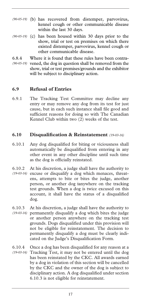- (b) has recovered from distemper, parvovirus, *(90-05-19)*  kennel cough or other communicable disease within the last 30 days.
- (90-05-19) (c) has been housed within 30 days prior to the show, trial or test on premises on which there existed distemper, parvovirus, kennel cough or other communicable disease.
- 6.8.4 Where it is found that these rules have been contra-(90-05-19) vened, the dog in question shall be removed from the show, trial or test premises/grounds and the exhibitor will be subject to disciplinary action.

#### **6.9 Refusal of Entries**

6.9.1 The Tracking Test Committee may decline any entry or may remove any dog from its test for just cause, but in each such instance shall file good and sufficient reasons for doing so with The Canadian Kennel Club within two (2) weeks of the test.

#### **6.10 Disqualification & Reinstatement** *(19-03-16)*

- 6.10.1 Any dog disqualified for biting or viciousness shall automatically be disqualified from entering in any other event in any other discipline until such time as the dog is officially reinstated.
- 6.10.2 At his discretion, a judge shall have the authority to excuse or disqualify a dog which menaces, threat-*(19-03-16)*  ens, attempts to bite or bites the judge, another person, or another dog ianywhere on the tracking test grounds. When a dog is twice excused on this account, it shall have the status of a disqualified dog.
- 6.10.3 At his discretion, a judge shall have the authority to permanently disqualify a dog which bites the judge *(19-03-16)*  or another person anywhere on the tracking test grounds. Dogs disqualified under this provision will not be eligible for reinstatement. The decision to permanently disqualify a dog must be clearly indicated on the Judge's Disqualification Form.
- 6.10.4 Once a dog has been disqualified for any reason at a Tracking Test, it may not be entered until the dog *(19-03-16)* has been reinstated by the CKC. All awards earned by a dog in violation of this section will be cancelled by the CKC and the owner of the dog is subject to disciplinary action. A dog disqualified under section 6.10.3 is not eligible for reinstatement.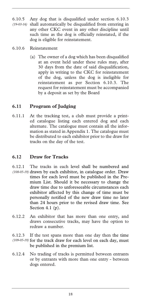- 6.10.5 Any dog that is disqualified under section 6.10.3 shall automatically be disqualified from entering in any other CKC event in any other discipline until such time as the dog is officially reinstated, if the dog is eligible for reinstatement. *(19-03-16)*
- 6.10.6 Reinstatement
	- (a) The owner of a dog which has been disqualified at an event held under these rules may, after 30 days from the date of said disqualification, apply in writing to the CKC for reinstatement of the dog, unless the dog is ineligible for reinstatement as per Section 6.10.3. The request for reinstatement must be accompanied by a deposit as set by the Board

#### **6.11 Program of Judging**

6.11.1 At the tracking test, a club must provide a printed catalogue listing each entered dog and each alternate. The catalogue must contain all the information as stated in Appendix 1. The catalogue must be distributed to each exhibitor prior to the draw for tracks on the day of the test.

#### **6.12 Draw for Tracks**

- 6.12.1 The tracks in each level shall be numbered and (108-05-19) drawn by each exhibitor, in catalogue order. Draw times for each level must be published in the Premium List. Should it be necessary to change the draw time due to unforeseeable circumstances each exhibitor affected by this change of time must be personally notified of the new draw time no later than 24 hours prior to the revised draw time. See Section 4.1 (p).
- 6.12.2 An exhibitor that has more than one entry, and draws consecutive tracks, may have the option to redraw a number.

6.12.3 If the test spans more than one day then the time (109-05-19) for the track draw for each level on each day, must be published in the premium list.

6.12.4 No trading of tracks is permitted between entrants or by entrants with more than one entry - between dogs entered.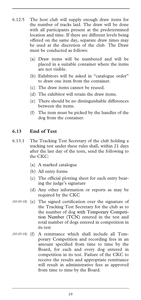- 6.12.5 The host club will supply enough draw items for the number of tracks laid. The draw will be done with all participants present at the predetermined location and time. If there are different levels being offered on the same day, separate draw times may be used at the discretion of the club. The Draw must be conducted as follows:
	- (a) Draw items will be numbered and will be placed in a suitable container where the items are not visible.
	- (b) Exhibitors will be asked in "catalogue order" to draw one item from the container.
	- (c) The draw items cannot be reused.
	- (d) The exhibitor will retain the draw items.
	- (e) There should be no distinguishable differences between the items.
	- (f) The item must be picked by the handler of the dog from the container.

#### **6.13 End of Test**

- 6.13.1 The Tracking Test Secretary of the club holding a tracking test under these rules shall, within 21 days after the last day of the tests, send the following to the CKC:
	- (a) A marked catalogue
	- (b) All entry forms
	- (c) The official plotting sheet for each entry bearing the judge's signature
	- (d) Any other information or reports as may be required by the CKC
- (e) The signed certification over the signature of *(01-05-18)*  the Tracking Test Secretary for the club as to the number of dog with Temporary Competition Number (TCN) entered in the test and total number of dogs entered in competition in its test
- (f) A remittance which shall include all Tem-*(01-05-18)* porary Competition and recording fees in an amount specified from time to time by the Board, for each and every dog entered in competition in its test. Failure of the CKC to receive the results and appropriate remittance will result in administrative fees as approved from time to time by the Board.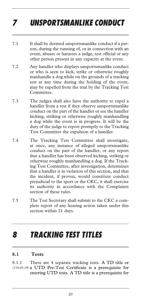## *7 UNSPORTSMANLIKE CONDUCT*

- 7.1 It shall be deemed unsportsmanlike conduct if a person, during the running of, or in connection with an event, abuses or harasses a judge, test official or any other person present in any capacity at the event.
- 7.2 Any handler who displays unsportsmanlike conduct or who is seen to kick, strike or otherwise roughly manhandle a dog while on the grounds of a tracking test at any time during the holding of the event, may be expelled from the trial by the Tracking Test Committee.
- 7.3 The judges shall also have the authority to expel a handler from a test if they observe unsportsmanlike conduct on the part of the handler or see the handler kicking, striking or otherwise roughly manhandling a dog while the event is in progress. It will be the duty of the judge to report promptly to the Tracking Test Committee the expulsion of a handler.
- 7.4 The Tracking Test Committee shall investigate, at once, any instance of alleged unsportsmanlike conduct on the part of the handler, or any report that a handler has been observed kicking, striking or otherwise roughly manhandling a dog. If the Tracking Test Committee, after investigation, determines that a handler is in violation of this section, and that the incident, if proven, would constitute conduct prejudicial to the sport or the CKC, it shall exercise its authority in accordance with the Complaints section of these rules.
- 7.5 The Test Secretary shall submit to the CKC a complete report of any hearing action taken under this section within 21 days.

### *8 TRACKING TEST TITLES*

#### **8.1 Tests**

8.1.1 There are 4 separate tracking tests. A TD title or a UTD Pre-Test Certificate is a prerequisite for *(110-05-19)* entering UTD tests. A TD title is a prerequisite for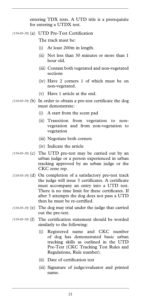entering TDX tests. A UTD title is a prerequisite for entering a UTDX test.

(a) UTD Pre-Test Certification *(110-05-19)* 

The track must be:

- (i) At least 200m in length.
- (ii) Not less than 30 minutes or more than 1 hour old.
- (iii) Contain both vegetated and non-vegetated sections
- (iv) Have 2 corners 1 of which must be on non-vegetated.
- (v) Have 1 article at the end.
- (110-05-19) (b) In order to obtain a pre-test certificate the dog must demonstrate:
	- (i) A start from the scent pad
	- (ii) Transition from vegetation to nonvegetation and from non-vegetation to vegetation
	- (iii) Negotiate both corners
	- (iv) Indicate the article
- $(110-05-19)$  (c) The UTD pre-test may be carried out by an urban judge or a person experienced in urban tracking approved by an urban judge or the CKC zone rep.
- (110-05-19) (d) On completion of a satisfactory pre-test track the judge will issue 3 certificates. A certificate must accompany an entry into a UTD test. There is no time limit for these certificates. If after 3 attempts the dog does not pass a UTD then he must be re-certified.
- (110-05-19) (e) The dog may trial under the judge that carried out the pre-test.
- The certification statement should be worded similarly to the following:  $(110-05-19)$   $(f)$ 
	- (i) Registered name and CKC number of dog has demonstrated basic urban tracking skills as outlined in the UTD Pre-Test (CKC Tracking Test Rules and Regulations, Rule number).
	- (ii) Date of certification test
	- (iii) Signature of judge/evaluator and printed name.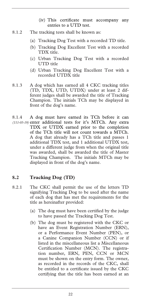- (iv) This certificate must accompany any entries to a UTD test.
- 8.1.2 The tracking tests shall be known as:
	- (a) Tracking Dog Test with a recorded TD title.
	- (b) Tracking Dog Excellent Test with a recorded TDX title.
	- (c) Urban Tracking Dog Test with a recorded UTD title
	- (d) Urban Tracking Dog Excellent Test with a recorded UTDX title
- 8.1.3 A dog which has earned all 4 CKC tracking titles (TD, TDX, UTD, UTDX) under at least 2 different judges shall be awarded the title of Tracking Champion. The initials TCh may be displayed in front of the dog's name.
- 8.1.4 A dog must have earned its TCh before it can (111-05-19) enter additional tests for it's MTCh. Any extra TDX or UTDX earned prior to the completion of the TCh title will not count towards a MTCh. A dog that already has a TCh title and passes 1 additional TDX test, and 1 additional UTDX test, under a different judge from when the original title was awarded, shall be awarded the title of Master Tracking Champion. The initials MTCh may be displayed in front of the dog's name.

#### **8.2 Tracking Dog (TD)**

- 8.2.1 The CKC shall permit the use of the letters TD signifying Tracking Dog to be used after the name of each dog that has met the requirements for the title as hereinafter provided:
	- (a) The dog must have been certified by the judge to have passed the Tracking Dog Test.
	- (b) The dog must be registered with the CKC or have an Event Registration Number (ERN), or a Performance Event Number (PEN), or a Canine Companion Number (CCN) or if listed in the miscellaneous list a Miscellaneous Certification Number (MCN). The registration number, ERN, PEN, CCN or MCN must be shown on the entry form. The owner, as recorded in the records of the CKC, shall be entitled to a certificate issued by the CKC certifying that the title has been earned at an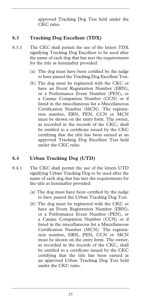approved Tracking Dog Test held under the CKC rules.

#### **8.3 Tracking Dog Excellent (TDX)**

- 8.3.1 The CKC shall permit the use of the letters TDX signifying Tracking Dog Excellent to be used after the name of each dog that has met the requirements for the title as hereinafter provided:
	- (a) The dog must have been certified by the judge to have passed the Tracking Dog Excellent Test.
	- (b) The dog must be registered with the CKC or have an Event Registration Number (ERN), or a Performance Event Number (PEN), or a Canine Companion Number (CCN) or if listed in the miscellaneous list a Miscellaneous Certification Number (MCN). The registration number, ERN, PEN, CCN or MCN must be shown on the entry form. The owner, as recorded in the records of the CKC, shall be entitled to a certificate issued by the CKC certifying that the title has been earned at an approved Tracking Dog Excellent Test held under the CKC rules.

#### **8.4 Urban Tracking Dog (UTD)**

- 8.4.1 The CKC shall permit the use of the letters UTD signifying Urban Tracking Dog to be used after the name of each dog that has met the requirements for the title as hereinafter provided:
	- (a) The dog must have been certified by the judge to have passed the Urban Tracking Dog Test.
	- (b) The dog must be registered with the CKC or have an Event Registration Number (ERN), or a Performance Event Number (PEN), or a Canine Companion Number (CCN) or if listed in the miscellaneous list a Miscellaneous Certification Number (MCN). The registration number, ERN, PEN, CCN or MCN must be shown on the entry form. The owner, as recorded in the records of the CKC, shall be entitled to a certificate issued by the CKC certifying that the title has been earned at an approved Urban Tracking Dog Test held under the CKC rules.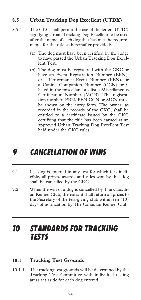#### **8.5 Urban Tracking Dog Excellent (UTDX)**

- 8.5.1 The CKC shall permit the use of the letters UTDX signifying Urban Tracking Dog Excellent to be used after the name of each dog that has met the requirements for the title as hereinafter provided:
	- (a) The dog must have been certified by the judge to have passed the Urban Tracking Dog Excellent Test.
	- (b) The dog must be registered with the CKC or have an Event Registration Number (ERN), or a Performance Event Number (PEN), or a Canine Companion Number (CCN) or if listed in the miscellaneous list a Miscellaneous Certification Number (MCN). The registration number, ERN, PEN CCN or MCN must be shown on the entry form. The owner, as recorded in the records of the CKC, shall be entitled to a certificate issued by the CKC certifying that the title has been earned at an approved Urban Tracking Dog Excellent Test held under the CKC rules.

### *9 CANCELLATION OF WINS*

- 9.1 If a dog is entered in any test for which it is ineligible, all prizes, awards and titles won by that dog shall be cancelled by the CKC.
- 9.2 When the win of a dog is cancelled by The Canadian Kennel Club, the entrant shall return all prizes to the Secretary of the test-giving club within ten (10) days of notification by The Canadian Kennel Club.

### *10 STANDARDS FOR TRACKING TESTS*

#### **10.1 Tracking Test Grounds**

10.1.1 The tracking test grounds will be determined by the Tracking Test Committee with individual testing areas set aside for each dog entered.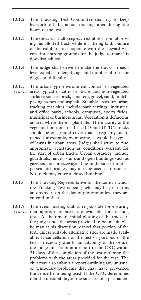- 10.1.2 The Tracking Test Committee shall try to keep livestock off the actual tracking area during the hours of the test.
- 10.1.3 The stewards shall keep each exhibitor from observing his allotted track while it is being laid. Failure of the exhibitor to cooperate with the steward will constitute strong grounds for the judge to mark his dog disqualified.
- 10.1.4 The judge shall strive to make the tracks in each level equal as to length, age and number of turns or degree of difficulty.
- 10.1.5 The urban-type environment consists of vegetated
- (83-03-16) areas typical of cities or towns and non-vegetated surfaces such as brick, concrete, gravel, sand, mulch, paving stones and asphalt. Suitable areas for urban tracking test sites include park settings, industrial and office parks, schools, campuses, sports fields, municipal or business areas. Vegetation is defined as an area where there is plant life. The majority of the vegetated portions of the UTD and UTDX tracks should be on ground cover that is regularly maintained for example, by mowing as would be typical of lawns in urban areas. Judges shall strive to find appropriate vegetation as conditions warrant for the start of urban tracks. Urban obstacles include guardrails, fences, stairs and open buildings such as gazebos and breezeways. The underside of underpasses and bridges may also be used as obstacles. No track may enter a closed building.
- 10.1.6 The Tracking Representative for the zone in which the Tracking Test is being held may be present as an observer, on the day of plotting unless they are entered in the test.
- 10.1.7 The event hosting club is responsible for ensuring (84-03-16) that appropriate areas are available for tracking tests. At the time of initial plotting of the tracks, if the judge finds the areas provided to be unsuitable, he may at his discretion, cancel that portion of the test, unless suitable alternative sites are made available. If cancellation of the test or portions of the test is necessary due to unsuitability of the venue, the judge must submit a report to the CKC within 21 days of the completion of the test outlining the problems with the areas provided for the test. The club may also submit a report outlining any unusual or temporary problems that may have prevented the venue from being used. If the CKC determines that the unsuitability of the sites are of a permanent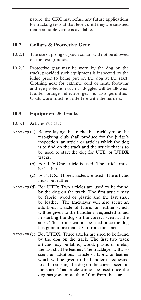nature, the CKC may refuse any future applications for tracking tests at that level, until they are satisfied that a suitable venue is available.

#### **10.2 Collars & Protective Gear**

- 10.2.1 The use of prong or pinch collars will not be allowed on the test grounds.
- 10.2.2 Protective gear may be worn by the dog on the track, provided such equipment is inspected by the judge prior to being put on the dog at the start. Clothing gear for extreme cold or heat, footwear and eye protection such as doggles will be allowed. Hunter orange reflective gear is also permitted. Coats worn must not interfere with the harness.

#### **10.3 Equipment & Tracks**

- 10.3.1 Articles *(112-05-19)*
- (112-05-19) (a) Before laying the track, the tracklayer or the test-giving club shall produce for the judge's inspection, an article or articles which the dog is to find on the track and the article that is to be used to start the dog for UTD or UTDX tracks.
	- (b) For TD: One article is used. The article must be leather.
	- (c) For TDX: Three articles are used. The articles must be leather.
- (d) For UTD: Two articles are used to be found *(112-05-19)*  by the dog on the track. The first article may be fabric, wood or plastic and the last shall be leather. The tracklayer will also scent an additional article of fabric or leather which will be given to the handler if requested to aid in starting the dog on the correct scent at the start. This article cannot be used once the dog has gone more than 10 m from the start.
- (112-05-19) (e) For UTDX: Three articles are used to be found by the dog on the track. The first two track articles may be fabric, wood, plastic or metal; the last shall be leather. The tracklayer will also scent an additional article of fabric or leather which will be given to the handler if requested to aid in starting the dog on the correct scent at the start. This article cannot be used once the dog has gone more than 10 m from the start.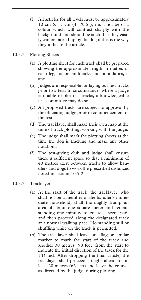- (f) All articles for all levels must be approximately 10 cm X 15 cm (4" X 6"), must not be of a colour which will contrast sharply with the background and should be such that they easily can be picked up by the dog if this is the way they indicate the article.
- 10.3.2 Plotting Sheets
	- (a) A plotting sheet for each track shall be prepared showing the approximate length in metres of each leg, major landmarks and boundaries, if any.
	- (b) Judges are responsible for laying out test tracks prior to a test. In circumstances where a judge is unable to plot test tracks, a knowledgeable test committee may do so.
	- (c) All proposed tracks are subject to approval by the officiating judge prior to commencement of the test.
	- (d) The tracklayer shall make their own map at the time of track plotting, working with the judge.
	- (e) The judge shall mark the plotting sheets at the time the dog is tracking and make any other notations.
	- (f) The test-giving club and judge shall ensure there is sufficient space so that a minimum of 40 metres exist between tracks to allow handlers and dogs to work the prescribed distances noted in section 10.5.2.
- 10.3.3 Tracklayer
	- (a) At the start of the track, the tracklayer, who shall not be a member of the handler's immediate household, shall thoroughly tramp an area of about one square meter and remain standing one minute, to create a scent pad, and then proceed along the designated track at a normal walking pace. No standing still or shuffling while on the track is permitted.
	- (b) The tracklayer shall leave one flag or similar marker to mark the start of the track and another 30 metres (98 feet) from the start to indicate the initial direction of the track for the TD test. After dropping the final article, the tracklayer shall proceed straight ahead for at least 20 metres (66 feet) and leave the course, as directed by the judge during plotting.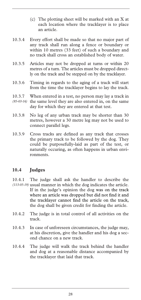- (c) The plotting sheet will be marked with an X at each location where the tracklayer is to place an article.
- 10.3.4 Every effort shall be made so that no major part of any track shall run along a fence or boundary or within 10 metres (33 feet) of such a boundary and no track shall cross an established body of water.
- 10.3.5 Articles may not be dropped at turns or within 20 metres of a turn. The articles must be dropped directly on the track and be stepped on by the tracklayer.
- 10.3.6 Timing in regards to the aging of a track will start from the time the tracklayer begins to lay the track.
- 10.3.7 When entered in a test, no person may lay a track in (85-03-16) the same level they are also entered in, on the same day for which they are entered at that test.
- 10.3.8 No leg of any urban track may be shorter than 30 metres, however a 30 metre leg may not be used to connect parallel legs.
- 10.3.9 Cross tracks are defined as any track that crosses the primary track to be followed by the dog. They could be purposefully-laid as part of the test, or naturally occuring, as often happens in urban environments.

#### **10.4 Judges**

10.4.1 The judge shall ask the handler to describe the (113-05-19) usual manner in which the dog indicates the article. If in the judge's opinion the dog was on the track where an article was dropped but did not find it and the tracklayer cannot find the article on the track, the dog shall be given credit for finding the article.

- 10.4.2 The judge is in total control of all activities on the track.
- 10.4.3 In case of unforeseen circumstances, the judge may, at his discretion, give the handler and his dog a second chance on a new track.
- 10.4.4 The judge will walk the track behind the handler and dog at a reasonable distance accompanied by the tracklayer that laid that track.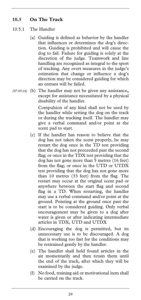#### **10.5 On The Track**

#### 10.5.1 The Handler

- (a) Guiding is defined as behavior by the handler that influences or determines the dog's direction. Guiding is prohibited and will cause the dog to fail. Failure for guiding is solely at the discretion of the judge. Teamwork and line handling are recognized as integral to the sport of tracking. Any overt measures in the judge's estimation that change or influence a dog's direction may be considered guiding for which an entrant will be failed.
- (b) The handler may not be given any assistance**,**  *(87-03-16)* except for assistance necessitated by a physical disability of the handler.

 Compulsion of any kind shall not be used by the handler while setting the dog on the track or during the tracking itself. The handler may give a verbal command and/or point at the scent pad to start.

- (c) If the handler has reason to believe that the dog has not taken the scent properly, he may restart the dog once in the TD test providing that the dog has not proceeded past the second flag; or once in the TDX test providing that the dog has not gone more than 5 metres (16 feet) from the flag; or once in the UTD or UTDX test providing that the dog has not gone more than 10 metres (33 feet) from the flag. The restart may occur at the original scent pad or anywhere between the start flag and second flag in a TD. When restarting, the handler may use a verbal command and/or point at the ground. Pointing at the ground once past the start is to be considered guiding. Only verbal encouragement may be given to a dog after water is given or after indicating intermediate articles in TDX, UTD and UTDX
- (d) Encouraging the dog is permitted, but its unnecessary use is to be discouraged. A dog that is working too fast for the conditions may be restrained gently by the handler.
- (e) The handler shall hold found articles in the air momentarily and then retain them until the end of the track, after which they will be examined by the judge.
- (f) No food, training aid or motivational item shall be carried on the track.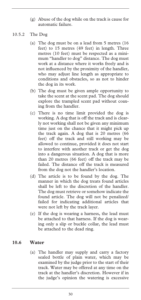- (g) Abuse of the dog while on the track is cause for automatic failure.
- 10.5.2 The Dog
	- (a) The dog must be on a lead from 5 metres (16 feet) to 15 metres (49 feet) in length. Three metres (10 feet) must be respected as a minimum "handler to dog" distance. The dog must work at a distance where it works freely and is not influenced by the proximity of the handler, who may adjust line length as appropriate to conditions and obstacles, so as not to hinder the dog in its work.
	- (b) The dog must be given ample opportunity to take the scent at the scent pad. The dog should explore the trampled scent pad without coaxing from the handler.
	- (c) There is no time limit provided the dog is working. A dog that is off the track and is clearly not working shall not be given any minimum time just on the chance that it might pick up the track again. A dog that is 20 metres (66 feet) off the track and still working may be allowed to continue, provided it does not start to interfere with another track or get the dog into a dangerous situation. A dog that is more than 20 metres (66 feet) off the track may be failed. The distance off the track is measured from the dog not the handler's location.
	- (d) The article is to be found by the dog. The manner in which the dog treats found articles shall be left to the discretion of the handler. The dog must retrieve or somehow indicate the found article. The dog will not be penalized/ failed for indicating additional articles that were not left by the track layer.
	- (e) If the dog is wearing a harness, the lead must be attached to that harness. If the dog is wearing only a slip or buckle collar, the lead must be attached to the dead ring.

#### **10.6 Water**

(a) The handler may supply and carry a factory sealed bottle of plain water, which may be examined by the judge prior to the start of their track. Water may be offered at any time on the track at the handler's discretion. However if in the judge's opinion the watering is excessive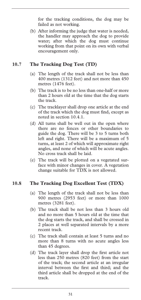for the tracking conditions, the dog may be failed as not working.

(b) After informing the judge that water is needed, the handler may approach the dog to provide water; after which the dog must continue working from that point on its own with verbal encouragement only.

#### **10.7 The Tracking Dog Test (TD)**

- (a) The length of the track shall not be less than 400 metres (1312 feet) and not more than 450 metres (1476 feet).
- (b) The track is to be no less than one-half or more than 2 hours old at the time that the dog starts the track.
- (c) The tracklayer shall drop one article at the end of the track which the dog must find, except as noted in section 10.4.1.
- (d) All turns shall be well out in the open where there are no fences or other boundaries to guide the dog. There will be 3 to 5 turns both left and right. There will be a maximum of 5 turns, at least 2 of which will approximate right angles, and none of which will be acute angles. No cross track shall be laid.
- (e) The track will be plotted on a vegetated surface with minor changes in cover. A vegetation change suitable for TDX is not allowed.

#### **10.8 The Tracking Dog Excellent Test (TDX)**

- (a) The length of the track shall not be less than 900 metres (2953 feet) or more than 1000 metres (3281 feet).
- (b) The track shall be not less than 3 hours old and no more than 5 hours old at the time that the dog starts the track, and shall be crossed in 2 places at well separated intervals by a more recent track.
- (c) The track shall contain at least 5 turns and no more than 8 turns with no acute angles less than 45 degrees.
- (d) The track layer shall drop the first article not less than 250 metres (820 feet) from the start of the track; the second article at an irregular interval between the first and third; and the third article shall be dropped at the end of the track.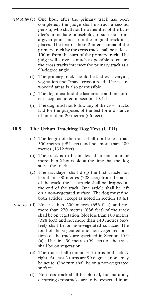- $(114-05-19)$  (e) One hour after the primary track has been completed, the judge shall instruct a second person, who shall not be a member of the handler's immediate household, to start out from a given point and cross the original track in 2 places. The first of these 2 intersections of the primary track by the cross track shall be at least 100 m from the start of the primary track. The judge will strive as much as possible to ensure the cross tracks intersect the primary track at a 90-degree angle.
	- (f) The primary track should be laid over varying vegetation and "may" cross a road. The use of wooded areas is also permissible.
	- (g) The dog must find the last article and one other except as noted in section 10.4.1.
	- (h) The dog must not follow any of the cross tracks laid for the purposes of the test for a distance of more than 20 metres (66 feet).

#### **10.9 The Urban Tracking Dog Test (UTD)**

- (a) The length of the track shall not be less than 300 metres (984 feet) and not more than 400 metres (1312 feet).
- (b) The track is to be no less than one hour or more than 2 hours old at the time that the dog starts the track.
- (c) The tracklayer shall drop the first article not less than 100 metres (328 feet) from the start of the track; the last article shall be dropped at the end of the track. One article shall be left on a non-vegetated surface. The dog must find both articles, except as noted in section 10.4.1
- (d) No less than 200 metres (656 feet) and not *(88-03-16)* more than 270 metres (886 feet) of the track shall be on vegetation. Not less than 100 metres (328 feet) and not more than 140 metres (459 feet) shall be on non-vegetated surfaces The total of the vegetated and non-vegetated portions of the track are specified in Section 10.9 (a). The first 30 metres (99 feet) of the track shall be on vegetation.
	- (e) The track shall contain 3-5 turns both left & right. At least 2 turns are 90 degrees; none may be acute. One turn shall be on a non-vegetated surface.
	- (f) No cross track shall be plotted, but naturally occurring crosstracks are to be expected in an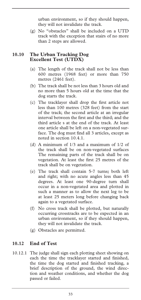urban environment, so if they should happen, they will not invalidate the track.

(g) No "obstacles" shall be included on a UTD track with the exception that stairs of no more than 2 steps are allowed.

#### **10.10 The Urban Tracking Dog Excellent Test (UTDX)**

- (a) The length of the track shall not be less than 600 metres (1968 feet) or more than 750 metres (2461 feet).
- (b) The track shall be not less than 3 hours old and no more than 5 hours old at the time that the dog starts the track.
- (c) The tracklayer shall drop the first article not less than 100 metres (328 feet) from the start of the track; the second article at an irregular interval between the first and the third; and the third article s at the end of the track. At least one article shall be left on a non-vegetated surface. The dog must find all 3 articles, except as noted in section 10.4.1.
- (d) A minimum of 1/3 and a maximum of 1/2 of the track shall be on non-vegetated surfaces The remaining parts of the track shall be on vegetation. At least the first 25 metres of the track shall be on vegetation.
- (e) The track shall contain 5-7 turns; both left and right; with no acute angles less than 45 degrees. At least one 90-degree turn shall occur in a non-vegetated area and plotted in such a manner as to allow the next leg to be at least 25 meters long before changing back again to a vegetated surface.
- (f) No cross track shall be plotted, but naturally occurring crosstracks are to be expected in an urban environment, so if they should happen, they will not invalidate the track.
- (g) Obstacles are permitted.

#### **10.12 End of Test**

10.12.1 The judge shall sign each plotting sheet showing on each the time the tracklayer started and finished, the time the dog started and finished tracking, a brief description of the ground, the wind direction and weather conditions, and whether the dog passed or failed.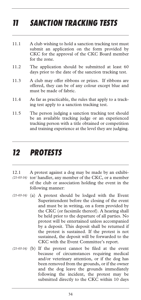## *11 SANCTION TRACKING TESTS*

- 11.1 A club wishing to hold a sanction tracking test must submit an application on the form provided by CKC for the approval of the CKC Board member for the zone.
- 11.2 The application should be submitted at least 60 days prior to the date of the sanction tracking test.
- 11.3 A club may offer ribbons or prizes. If ribbons are offered, they can be of any colour except blue and must be made of fabric.
- 11.4 As far as practicable, the rules that apply to a tracking test apply to a sanction tracking test.
- 11.5 The person judging a sanction tracking test should be an available tracking judge or an experienced tracking person with a title obtained or competition and training experience at the level they are judging.

### *12 PROTESTS*

- 12.1 A protest against a dog may be made by an exhibi-(21-03-16) tor/ handler, any member of the CKC, or a member of the club or association holding the event in the following manner:
- (a) A protest should be lodged with the Event *(21-03-16)*  Superintendent before the closing of the event and must be in writing, on a form provided by the CKC (or facsimile thereof). A hearing shall be held prior to the departure of all parties. No protest will be entertained unless accompanied by a deposit. This deposit shall be returned if the protest is sustained. If the protest is not sustained, the deposit will be forwarded to the CKC with the Event Committee's report.
- (21-03-16) (b) If the protest cannot be filed at the event because of circumstances requiring medical and/or veterinary attention, or if the dog has been removed from the grounds, or if the owner and the dog leave the grounds immediately following the incident, the protest may be submitted directly to the CKC within 10 days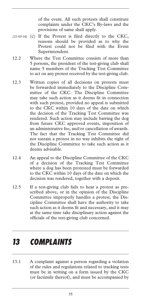of the event. All such protests shall constitute complaints under the CKC's By-laws and the provisions of same shall apply.

- (c) If the Protest is filed directly to the CKC, *(21-03-16)* reasons should be provided as to why the Protest could not be filed with the Event Superintendent.
- 12.2 Where the Test Committee consists of more than 5 persons, the president of the test-giving club shall name 5 members of the Tracking Test Committee to act on any protest received by the test-giving club.
- 12.3 Written copies of all decisions on protests must be forwarded immediately to the Discipline Committee of the CKC. The Discipline Committee may take such action as it deems fit in connection with such protest, provided no appeal is submitted to the CKC within 10 days of the date on which the decision of the Tracking Test Committee was rendered. Such action may include barring the dog from future CKC approved events, imposition of an administrative fee, and/or cancellation of awards. The fact that the Tracking Test Committee did not sustain a protest in no way inhibits the right of the Discipline Committee to take such action as it deems advisable.
- 12.4 An appeal to the Discipline Committee of the CKC of a decision of the Tracking Test Committee where a dog has been protested must be forwarded to the CKC within 10 days of the date on which the decision was rendered, together with a deposit.
- 12.5 If a test-giving club fails to hear a protest as prescribed above, or in the opinion of the Discipline Committee improperly handles a protest, the Discipline Committee shall have the authority to take such action as it deems fit and necessary, and it may at the same time take disciplinary action against the officials of the test-giving club concerned.

### *13 COMPLAINTS*

13.1 A complaint against a person regarding a violation of the rules and regulations related to tracking tests must be in writing on a form issued by the CKC (or facsimile thereof), and must be accompanied by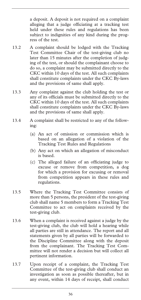a deposit. A deposit is not required on a complaint alleging that a judge officiating at a tracking test held under these rules and regulations has been subject to indignities of any kind during the progress of the test.

- 13.2 A complaint should be lodged with the Tracking Test Committee Chair of the test-giving club no later than 15 minutes after the completion of judging of the test, or should the complainant choose to do so, a complaint may be submitted directly to the CKC within 10 days of the test. All such complaints shall constitute complaints under the CKC By-laws and the provisions of same shall apply.
- 13.3 Any complaint against the club holding the test or any of its officials must be submitted directly to the CKC within 10 days of the test. All such complaints shall constitute complaints under the CKC By-laws and the provisions of same shall apply.
- 13.4 A complaint shall be restricted to any of the following:
	- (a) An act of omission or commission which is based on an allegation of a violation of the Tracking Test Rules and Regulations
	- (b) Any act on which an allegation of misconduct is based.
	- (c) The alleged failure of an officiating judge to excuse or remove from competition, a dog for which a provision for excusing or removal from competition appears in these rules and regulations.
- 13.5 Where the Tracking Test Committee consists of more than 5 persons, the president of the test-giving club shall name 5 members to form a Tracking Test Committee to act on complaints received by the test-giving club.
- 13.6 When a complaint is received against a judge by the test-giving club, the club will hold a hearing while all parties are still in attendance. The report and all statements given by all parties will be forwarded to the Discipline Committee along with the deposit from the complainant. The Tracking Test Committee will not render a decision but will collect all pertinent information.
- 13.7 Upon receipt of a complaint, the Tracking Test Committee of the test-giving club shall conduct an investigation as soon as possible thereafter, but in any event, within 14 days of receipt, shall conduct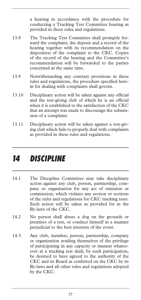a hearing in accordance with the procedure for conducting a Tracking Test Committee hearing as provided in these rules and regulations.

- 13.8 The Tracking Test Committee shall promptly forward the complaint, the deposit and a record of the hearing together with its recommendation on the disposition of the complaint to the CKC. Copies of the record of the hearing and the Committee's recommendation will be forwarded to the parties concerned at the same time.
- 13.9 Notwithstanding any contrary provisions in these rules and regulations, the procedure specified herein for dealing with complaints shall govern.
- 13.10 Disciplinary action will be taken against any official and the test-giving club of which he is an official when it is established to the satisfaction of the CKC that an attempt was made to discourage the submission of a complaint.
- 13.11 Disciplinary action will be taken against a test-giving club which fails to properly deal with complaints as provided in these rules and regulations.

### *14 DISCIPLINE*

- 14.1 The Discipline Committee may take disciplinary action against any club, person, partnership, company or organization for any act of omission or commission, which violates any section or sections of the rules and regulations for CKC tracking tests. Such action will be taken as provided for in the By-laws of the CKC.
- 14.2 No person shall abuse a dog on the grounds or premises of a test, or conduct himself in a manner prejudicial to the best interests of the event.
- 14.3 Any club, member, person, partnership, company or organization availing themselves of the privilege of participating in any capacity or manner whatsoever at a tracking test shall, by such participation, be deemed to have agreed to the authority of the CKC and its Board as conferred on the CKC by its By-laws and all other rules and regulations adopted by the CKC.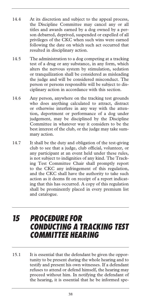- 14.4 At its discretion and subject to the appeal process, the Discipline Committee may cancel any or all titles and awards earned by a dog owned by a person debarred, deprived, suspended or expelled of all privileges of the CKC when such wins were earned following the date on which such act occurred that resulted in disciplinary action.
- 14.5 The administration to a dog competing at a tracking test of a drug or any substance, in any form, which alters the nervous system by stimulation, sedation or tranquilization shall be considered as misleading the judge and will be considered misconduct. The person or persons responsible will be subject to disciplinary action in accordance with this section.
- 14.6 Any person, anywhere on the tracking test grounds who does anything calculated to attract, distract or otherwise interfere in any way with the attention, deportment or performance of a dog under judgement, may be disciplined by the Discipline Committee in whatever way it considers to be the best interest of the club, or the judge may take summary action.
- 14.7 It shall be the duty and obligation of the test-giving club to see that a judge, club official, volunteer, or any participant at an event held under these rules, is not subject to indignities of any kind. The Tracking Test Committee Chair shall promptly report to the CKC any infringement of this regulation, and the CKC shall have the authority to take such action as it deems fit on receipt of a report indicating that this has occurred. A copy of this regulation shall be prominently placed in every premium list and catalogue.

### *15 PROCEDURE FOR CONDUCTING A TRACKING TEST COMMITTEE HEARING*

15.1 It is essential that the defendant be given the opportunity to be present during the whole hearing and to testify and present his own witnesses. If a defendant refuses to attend or defend himself, the hearing may proceed without him. In notifying the defendant of the hearing, it is essential that he be informed spe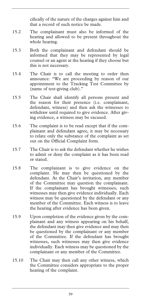cifically of the nature of the charges against him and that a record of such notice be made.

- 15.2 The complainant must also be informed of the hearing and allowed to be present throughout the whole hearing.
- 15.3 Both the complainant and defendant should be informed that they may be represented by legal counsel or an agent at the hearing if they choose but this is not necessary.
- 15.4 The Chair is to call the meeting to order then announce: "We are proceeding by reason of our appointment to the Tracking Test Committee by (name of test-giving club)."
- 15.5 The Chair shall identify all persons present and the reason for their presence (i.e. complainant, defendant, witness) and then ask the witnesses to withdraw until required to give evidence. After giving evidence, a witness may be excused.
- 15.6 The complaint is to be read except that if the complainant and defendant agree, it may be necessary to relate only the substance of the complaint as set out on the Official Complaint form.
- 15.7 The Chair is to ask the defendant whether he wishes to admit or deny the complaint as it has been read or stated.
- 15.8 The complainant is to give evidence on the complaint. He may then be questioned by the defendant. At the Chair's invitation, any member of the Committee may question the complainant. If the complainant has brought witnesses, such witnesses may then give evidence individually. Each witness may be questioned by the defendant or any member of the Committee. Each witness is to leave the hearing after evidence has been given.
- 15.9 Upon completion of the evidence given by the complainant and any witness appearing on his behalf, the defendant may then give evidence and may then be questioned by the complainant or any member of the Committee. If the defendant has brought witnesses, such witnesses may then give evidence individually. Each witness may be questioned by the complainant or any member of the Committee.
- 15.10 The Chair may then call any other witness, which the Committee considers appropriate to the proper hearing of the complaint.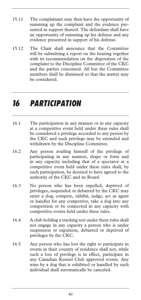- 15.11 The complainant may then have the opportunity of summing up the complaint and the evidence presented in support thereof. The defendant shall have an opportunity of summing up his defense and any evidence presented in support of his defense.
- 15.12 The Chair shall announce that the Committee will be submitting a report on the hearing together with its recommendation on the disposition of the complaint to the Discipline Committee of the CKC and the parties concerned. All but the Committee members shall be dismissed so that the matter may be considered.

## *16 PARTICIPATION*

- 16.1 The participation in any manner or in any capacity at a competitive event held under these rules shall be considered a privilege accorded to any person by the CKC and such privilege may be extended and withdrawn by the Discipline Committee.
- 16.2 Any person availing himself of the privilege of participating in any manner, shape or form and in any capacity including that of a spectator at a competitive event held under these rules shall, by such participation, be deemed to have agreed to the authority of the CKC and its Board.
- 16.3 No person who has been expelled, deprived of privileges, suspended or debarred by the CKC may enter a dog, compete, exhibit, judge, act as agent or handler for any competitor, take a dog into any competition or be connected in any capacity with competitive events held under these rules.
- 16.4 A club holding a tracking test under these rules shall not engage in any capacity a person who is under suspension or expulsion, debarred or deprived of privileges by the CKC.
- 16.5 Any person who has lost the right to participate in events in their country of residence shall not, while such a loss of privilege is in effect, participate in any Canadian Kennel Club approved events. Any wins by a dog that is exhibited or handled by such individual shall automatically be canceled.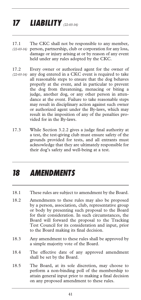## *17 LIABILITY (22-03-16)*

- 17.1 The CKC shall not be responsible to any member, person, partnership, club or corporation for any loss, *(22-03-16)*  damage or injury arising at or by reason of any event held under any rules adopted by the CKC.
- 17.2 Every owner or authorized agent for the owner of (22-03-16) any dog entered in a CKC event is required to take all reasonable steps to ensure that the dog behaves properly at the event, and in particular to prevent the dog from threatening, menacing or biting a judge, another dog, or any other person in attendance at the event. Failure to take reasonable steps may result in disciplinary action against such owner or authorized agent under the By-laws, which may result in the imposition of any of the penalties provided for in the By-laws.
- 17.3 While Section 3.2.2 gives a judge final authority at a test, the test-giving club must ensure safety of the grounds provided for tests, and all entrants must acknowledge that they are ultimately responsible for their dog's safety and well-being at a test.

## *18 AMENDMENTS*

- 18.1 These rules are subject to amendment by the Board.
- 18.2 Amendments to these rules may also be proposed by a person, association, club, representative group or body by presenting such proposal to the Board for their consideration. In such circumstances, the Board will forward the proposal to the Tracking Test Council for its consideration and input, prior to the Board making its final decision.
- 18.3 Any amendment to these rules shall be approved by a simple majority vote of the Board.
- 18.4 The effective date of any approved amendment shall be set by the Board.
- 18.5 The Board, at its sole discretion, may choose to perform a non-binding poll of the membership to attain general input prior to making a final decision on any proposed amendment to these rules.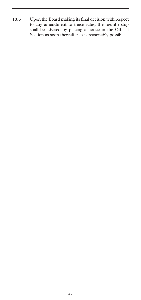18.6 Upon the Board making its final decision with respect to any amendment to these rules, the membership shall be advised by placing a notice in the Official Section as soon thereafter as is reasonably possible.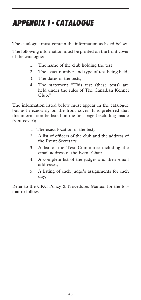## *APPENDIX 1 - CATALOGUE*

The catalogue must contain the information as listed below.

The following information must be printed on the front cover of the catalogue:

- 1. The name of the club holding the test;
- 2. The exact number and type of test being held;
- 3. The dates of the tests;
- 4. The statement "This test (these tests) are held under the rules of The Canadian Kennel Club."

The information listed below must appear in the catalogue but not necessarily on the front cover. It is preferred that this information be listed on the first page (excluding inside front cover);

- 1. The exact location of the test;
- 2. A list of officers of the club and the address of the Event Secretary;
- 3. A list of the Test Committee including the email address of the Event Chair.
- 4. A complete list of the judges and their email addresses;
- 5. A listing of each judge's assignments for each day;

Refer to the CKC Policy & Procedures Manual for the format to follow.